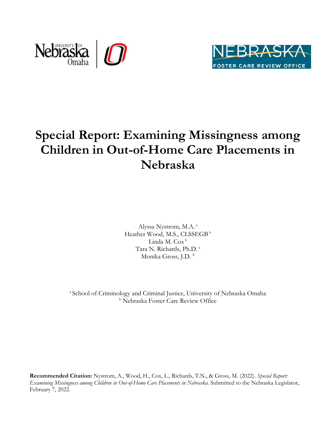



## **Special Report: Examining Missingness among Children in Out-of-Home Care Placements in Nebraska**

Alyssa Nystrom, M.A. a Heather Wood, M.S., CLSSEGB<sup>b</sup> Linda M. Cox<sup>b</sup> Tara N. Richards, Ph.D. a Monika Gross, J.D.<sup>b</sup>

<sup>a</sup> School of Criminology and Criminal Justice, University of Nebraska Omaha b Nebraska Foster Care Review Office

**Recommended Citation:** Nystrom, A., Wood, H., Cox, L., Richards, T.N., & Gross, M. (2022). *Special Report: Examining Missingness among Children in Out-of-Home Care Placements in Nebraska.* Submitted to the Nebraska Legislator, February 7, 2022.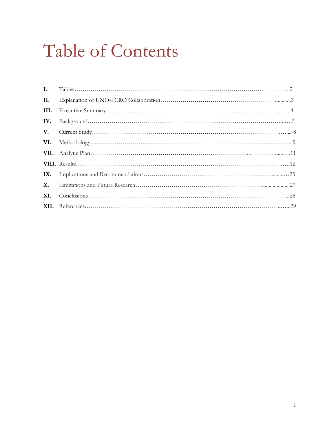# Table of Contents

| $\mathbf{I}$ . |  |
|----------------|--|
| II.            |  |
| III.           |  |
| IV.            |  |
| V.             |  |
| VI.            |  |
|                |  |
|                |  |
| IX.            |  |
| X.             |  |
| XI.            |  |
|                |  |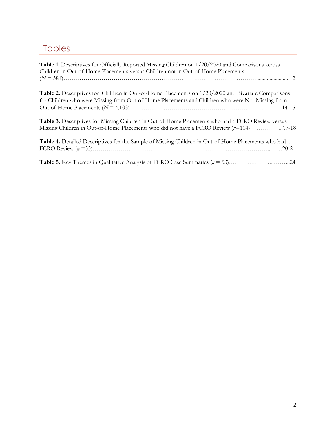## Tables

| Table 1. Descriptives for Officially Reported Missing Children on 1/20/2020 and Comparisons across<br>Children in Out-of-Home Placements versus Children not in Out-of-Home Placements                           |
|------------------------------------------------------------------------------------------------------------------------------------------------------------------------------------------------------------------|
|                                                                                                                                                                                                                  |
| <b>Table 2.</b> Descriptives for Children in Out-of-Home Placements on $1/20/2020$ and Bivariate Comparisons<br>for Children who were Missing from Out-of-Home Placements and Children who were Not Missing from |
| Table 3. Descriptives for Missing Children in Out-of-Home Placements who had a FCRO Review versus<br>Missing Children in Out-of-Home Placements who did not have a FCRO Review (n=114)17-18                      |
| Table 4. Detailed Descriptives for the Sample of Missing Children in Out-of-Home Placements who had a                                                                                                            |
|                                                                                                                                                                                                                  |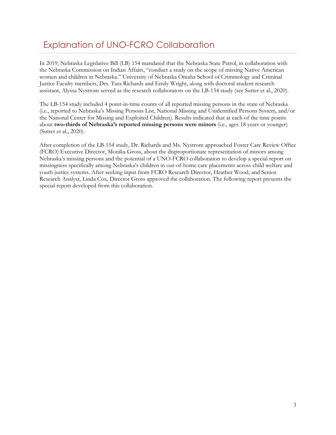## Explanation of UNO-FCRO Collaboration

In 2019, Nebraska Legislative Bill (LB) 154 mandated that the Nebraska State Patrol, in collaboration with the Nebraska Commission on Indian Affairs, "conduct a study on the scope of missing Native American women and children in Nebraska." University of Nebraska Omaha School of Criminology and Criminal Justice Faculty members, Drs. Tara Richards and Emily Wright, along with doctoral student research assistant, Alyssa Nystrom served as the research collaborators on the LB-154 study (see Sutter et al., 2020).

The LB-154 study included 4 point-in-time counts of all reported missing persons in the state of Nebraska (i.e., reported to Nebraska's Missing Persons List, National Missing and Unidentified Persons System, and/or the National Center for Missing and Exploited Children). Results indicated that at each of the time points about **two-thirds of Nebraska's reported missing persons were minors** (i.e., ages 18 years or younger) (Sutter et al., 2020).

After completion of the LB-154 study, Dr. Richards and Ms. Nystrom approached Foster Care Review Office (FCRO) Executive Director, Monika Gross, about the disproportionate representation of minors among Nebraska's missing persons and the potential of a UNO-FCRO collaboration to develop a special report on missingness specifically among Nebraska's children in out-of-home care placements across child welfare and youth justice systems. After seeking input from FCRO Research Director, Heather Wood, and Senior Research Analyst, Linda Cox, Director Gross approved the collaboration. The following report presents the special report developed from this collaboration.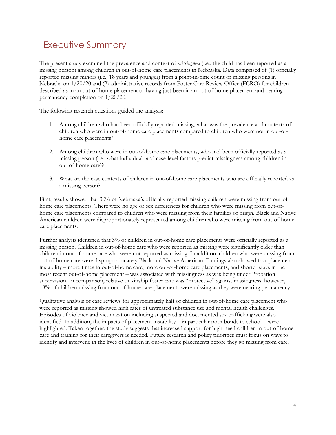#### Executive Summary

The present study examined the prevalence and context of *missingness* (i.e., the child has been reported as a missing person) among children in out-of-home care placements in Nebraska. Data comprised of (1) officially reported missing minors (i.e., 18 years and younger) from a point-in-time count of missing persons in Nebraska on 1/20/20 and (2) administrative records from Foster Care Review Office (FCRO) for children described as in an out-of-home placement or having just been in an out-of-home placement and nearing permanency completion on 1/20/20.

The following research questions guided the analysis:

- 1. Among children who had been officially reported missing, what was the prevalence and contexts of children who were in out-of-home care placements compared to children who were not in out-ofhome care placements?
- 2. Among children who were in out-of-home care placements, who had been officially reported as a missing person (i.e., what individual- and case-level factors predict missingness among children in out-of-home care)?
- 3. What are the case contexts of children in out-of-home care placements who are officially reported as a missing person?

First, results showed that 30% of Nebraska's officially reported missing children were missing from out-ofhome care placements. There were no age or sex differences for children who were missing from out-ofhome care placements compared to children who were missing from their families of origin. Black and Native American children were disproportionately represented among children who were missing from out-of-home care placements.

Further analysis identified that 3% of children in out-of-home care placements were officially reported as a missing person. Children in out-of-home care who were reported as missing were significantly older than children in out-of-home care who were not reported as missing. In addition, children who were missing from out-of-home care were disproportionately Black and Native American. Findings also showed that placement instability – more times in out-of-home care, more out-of-home care placements, and shorter stays in the most recent out-of-home placement – was associated with missingness as was being under Probation supervision. In comparison, relative or kinship foster care was "protective" against missingness; however, 18% of children missing from out-of-home care placements were missing as they were nearing permanency.

Qualitative analysis of case reviews for approximately half of children in out-of-home care placement who were reported as missing showed high rates of untreated substance use and mental health challenges. Episodes of violence and victimization including suspected and documented sex trafficking were also identified. In addition, the impacts of placement instability – in particular poor bonds to school – were highlighted. Taken together, the study suggests that increased support for high-need children in out-of-home care and training for their caregivers is needed. Future research and policy priorities must focus on ways to identify and intervene in the lives of children in out-of-home placements before they go missing from care.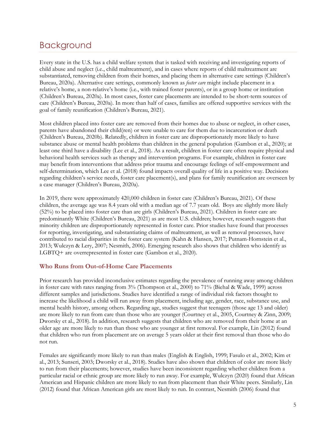#### Background

Every state in the U.S. has a child welfare system that is tasked with receiving and investigating reports of child abuse and neglect (i.e., child maltreatment), and in cases where reports of child maltreatment are substantiated, removing children from their homes, and placing them in alternative care settings (Children's Bureau, 2020a). Alternative care settings, commonly known as *foster care* might include placement in a relative's home, a non-relative's home (i.e., with trained foster parents), or in a group home or institution (Children's Bureau, 2020a). In most cases, foster care placements are intended to be short-term sources of care (Children's Bureau, 2020a). In more than half of cases, families are offered supportive services with the goal of family reunification (Children's Bureau, 2021).

Most children placed into foster care are removed from their homes due to abuse or neglect, in other cases, parents have abandoned their child(ren) or were unable to care for them due to incarceration or death (Children's Bureau, 2020b). Relatedly, children in foster care are disproportionately more likely to have substance abuse or mental health problems than children in the general population (Gambon et al., 2020); at least one third have a disability (Lee et al., 2018). As a result, children in foster care often require physical and behavioral health services such as therapy and intervention programs. For example, children in foster care may benefit from interventions that address prior trauma and encourage feelings of self-empowerment and self-determination, which Lee et al. (2018) found impacts overall quality of life in a positive way. Decisions regarding children's service needs, foster care placement(s), and plans for family reunification are overseen by a case manager (Children's Bureau, 2020a).

In 2019, there were approximately 420,000 children in foster care (Children's Bureau, 2021). Of these children, the average age was 8.4 years old with a median age of 7.7 years old. Boys are slightly more likely (52%) to be placed into foster care than are girls (Children's Bureau, 2021). Children in foster care are predominantly White (Children's Bureau, 2021) as are most U.S. children; however, research suggests that minority children are disproportionately represented in foster care. Prior studies have found that processes for reporting, investigating, and substantiating claims of maltreatment, as well as removal processes, have contributed to racial disparities in the foster care system (Kahn & Hansen, 2017; Putnam-Hornstein et al., 2013; Wulczyn & Lery, 2007; Nesmith, 2006). Emerging research also shows that children who identify as LGBTQ+ are overrepresented in foster care (Gambon et al., 2020).

#### **Who Runs from Out-of-Home Care Placements**

Prior research has provided inconclusive estimates regarding the prevalence of running away among children in foster care with rates ranging from 3% (Thompson et al., 2000) to 71% (Biehal & Wade, 1999) across different samples and jurisdictions. Studies have identified a range of individual risk factors thought to increase the likelihood a child will run away from placement, including age, gender, race, substance use, and mental health history, among others. Regarding age, studies suggest that teenagers (those age 13 and older) are more likely to run from care than those who are younger (Courtney et al., 2005, Courtney & Zinn, 2009; Dworsky et al., 2018). In addition, research suggests that children who are removed from their home at an older age are more likely to run than those who are younger at first removal. For example, Lin (2012) found that children who run from placement are on average 5 years older at their first removal than those who do not run.

Females are significantly more likely to run than males (English & English, 1999; Fasulo et al., 2002; Kim et al., 2013; Sunseri, 2003; Dworsky et al., 2018). Studies have also shown that children of color are more likely to run from their placements; however, studies have been inconsistent regarding whether children from a particular racial or ethnic group are more likely to run away. For example, Wulczyn (2020) found that African American and Hispanic children are more likely to run from placement than their White peers. Similarly, Lin (2012) found that African American girls are most likely to run. In contrast, Nesmith (2006) found that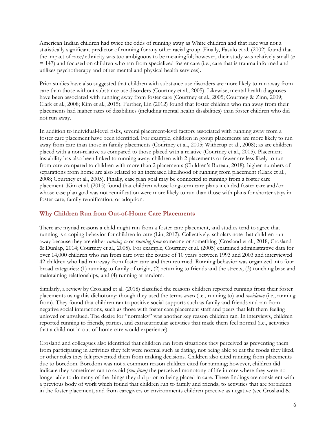American Indian children had twice the odds of running away as White children and that race was not a statistically significant predictor of running for any other racial group. Finally, Fasulo et al. (2002) found that the impact of race/ethnicity was too ambiguous to be meaningful; however, their study was relatively small (*n* = 147) and focused on children who ran from specialized foster care (i.e., care that is trauma informed and utilizes psychotherapy and other mental and physical health services).

Prior studies have also suggested that children with substance use disorders are more likely to run away from care than those without substance use disorders (Courtney et al., 2005). Likewise, mental health diagnoses have been associated with running away from foster care (Courtney et al., 2005; Courtney & Zinn, 2009; Clark et al., 2008; Kim et al., 2015). Further, Lin (2012) found that foster children who ran away from their placements had higher rates of disabilities (including mental health disabilities) than foster children who did not run away.

In addition to individual-level risks, several placement-level factors associated with running away from a foster care placement have been identified. For example, children in group placements are more likely to run away from care than those in family placements (Courtney et al., 2005; Witherup et al., 2008); as are children placed with a non-relative as compared to those placed with a relative (Courtney et al., 2005). Placement instability has also been linked to running away: children with 2 placements or fewer are less likely to run from care compared to children with more than 2 placements (Children's Bureau, 2018); higher numbers of separations from home are also related to an increased likelihood of running from placement (Clark et al., 2008; Courtney et al., 2005). Finally, case plan goal may be connected to running from a foster care placement. Kim et al. (2015) found that children whose long-term care plans included foster care and/or whose case plan goal was not reunification were more likely to run than those with plans for shorter stays in foster care, family reunification, or adoption.

#### **Why Children Run from Out-of-Home Care Placements**

There are myriad reasons a child might run from a foster care placement, and studies tend to agree that running is a coping behavior for children in care (Lin, 2012). Collectively, scholars note that children run away because they are either *running to* or *running from* someone or something (Crosland et al., 2018; Crosland & Dunlap, 2014; Courtney et al., 2005). For example, Courtney et al. (2005) examined administrative data for over 14,000 children who ran from care over the course of 10 years between 1993 and 2003 and interviewed 42 children who had run away from foster care and then returned. Running behavior was organized into four broad categories: (1) running to family of origin, (2) returning to friends and the streets, (3) touching base and maintaining relationships, and (4) running at random.

Similarly, a review by Crosland et al. (2018) classified the reasons children reported running from their foster placements using this dichotomy; though they used the terms *access* (i.e., running to) and *avoidance* (i.e., running from). They found that children ran to positive social supports such as family and friends and ran from negative social interactions, such as those with foster care placement staff and peers that left them feeling unloved or unvalued. The desire for "normalcy" was another key reason children ran. In interviews, children reported running to friends, parties, and extracurricular activities that made them feel normal (i.e., activities that a child not in out-of-home care would experience).

Crosland and colleagues also identified that children ran from situations they perceived as preventing them from participating in activities they felt were normal such as dating, not being able to eat the foods they liked, or other rules they felt prevented them from making decisions. Children also cited running from placements due to boredom. Boredom was not a common reason children cited for running; however, children did indicate they sometimes ran to avoid (*run from)* the perceived monotony of life in care where they were no longer able to do many of the things they did prior to being placed in care. These findings are consistent with a previous body of work which found that children run to family and friends, to activities that are forbidden in the foster placement, and from caregivers or environments children perceive as negative (see Crosland &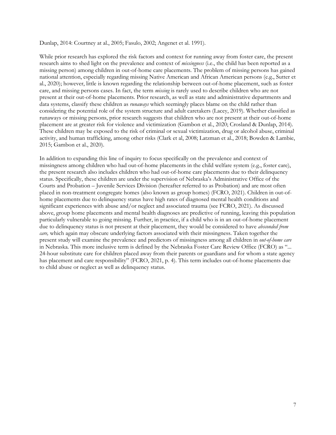Dunlap, 2014: Courtney at al., 2005; Fasulo, 2002; Angenet et al. 1991).

While prior research has explored the risk factors and context for running away from foster care, the present research aims to shed light on the prevalence and context of *missingness* (i.e., the child has been reported as a missing person) among children in out-of-home care placements. The problem of missing persons has gained national attention, especially regarding missing Native American and African American persons (e.g., Sutter et al., 2020); however, little is known regarding the relationship between out-of-home placement, such as foster care, and missing persons cases. In fact, the term *missing* is rarely used to describe children who are not present at their out-of-home placements. Prior research, as well as state and administrative departments and data systems, classify these children as *runaways* which seemingly places blame on the child rather than considering the potential role of the system structure and adult caretakers (Lacey, 2019). Whether classified as runaways or missing persons, prior research suggests that children who are not present at their out-of-home placement are at greater risk for violence and victimization (Gambon et al., 2020; Crosland & Dunlap, 2014). These children may be exposed to the risk of criminal or sexual victimization, drug or alcohol abuse, criminal activity, and human trafficking, among other risks (Clark et al, 2008; Latzman et al., 2018; Bowden & Lambie, 2015; Gambon et al., 2020).

In addition to expanding this line of inquiry to focus specifically on the prevalence and context of missingness among children who had out-of-home placements in the child welfare system (e.g., foster care), the present research also includes children who had out-of-home care placements due to their delinquency status. Specifically, these children are under the supervision of Nebraska's Administrative Office of the Courts and Probation – Juvenile Services Division (hereafter referred to as Probation) and are most often placed in non-treatment congregate homes (also known as group homes) (FCRO, 2021). Children in out-ofhome placements due to delinquency status have high rates of diagnosed mental health conditions and significant experiences with abuse and/or neglect and associated trauma (see FCRO, 2021). As discussed above, group home placements and mental health diagnoses are predictive of running, leaving this population particularly vulnerable to going missing. Further, in practice, if a child who is in an out-of-home placement due to delinquency status is not present at their placement, they would be considered to have *absconded from care,* which again may obscure underlying factors associated with their missingness. Taken together the present study will examine the prevalence and predictors of missingness among all children in *out-of-home care*  in Nebraska*.* This more inclusive term is defined by the Nebraska Foster Care Review Office (FCRO) as "... 24-hour substitute care for children placed away from their parents or guardians and for whom a state agency has placement and care responsibility" (FCRO, 2021, p. 4). This term includes out-of-home placements due to child abuse or neglect as well as delinquency status.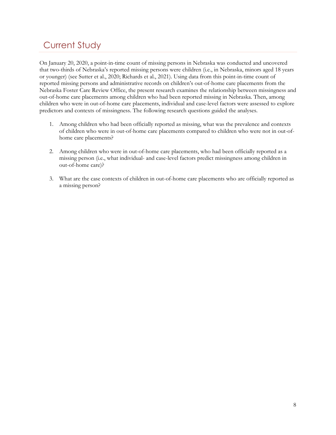## Current Study

On January 20, 2020, a point-in-time count of missing persons in Nebraska was conducted and uncovered that two-thirds of Nebraska's reported missing persons were children (i.e., in Nebraska, minors aged 18 years or younger) (see Sutter et al., 2020; Richards et al., 2021). Using data from this point-in-time count of reported missing persons and administrative records on children's out-of-home care placements from the Nebraska Foster Care Review Office, the present research examines the relationship between missingness and out-of-home care placements among children who had been reported missing in Nebraska. Then, among children who were in out-of-home care placements, individual and case-level factors were assessed to explore predictors and contexts of missingness. The following research questions guided the analyses.

- 1. Among children who had been officially reported as missing, what was the prevalence and contexts of children who were in out-of-home care placements compared to children who were not in out-ofhome care placements?
- 2. Among children who were in out-of-home care placements, who had been officially reported as a missing person (i.e., what individual- and case-level factors predict missingness among children in out-of-home care)?
- 3. What are the case contexts of children in out-of-home care placements who are officially reported as a missing person?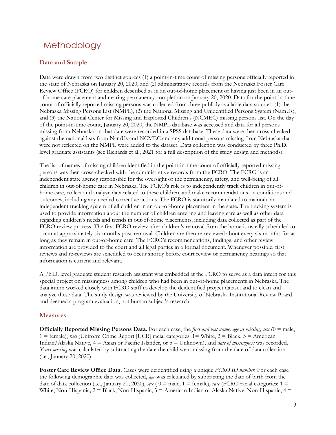### **Methodology**

#### **Data and Sample**

Data were drawn from two distinct sources (1) a point-in-time count of missing persons officially reported in the state of Nebraska on January 20, 2020, and (2) administrative records from the Nebraska Foster Care Review Office (FCRO) for children described as in an out-of-home placement or having just been in an outof-home care placement and nearing permanency completion on January 20, 2020. Data for the point-in-time count of officially reported missing persons was collected from three publicly available data sources: (1) the Nebraska Missing Persons List (NMPL), (2) the National Missing and Unidentified Persons System (NamUs), and (3) the National Center for Missing and Exploited Children's (NCMEC) missing persons list. On the day of the point-in-time count, January 20, 2020, the NMPL database was accessed and data for all persons missing from Nebraska on that date were recorded in a SPSS database. These data were then cross-checked against the national lists from NamUs and NCMEC and any additional persons missing from Nebraska that were not reflected on the NMPL were added to the dataset. Data collection was conducted by three Ph.D. level graduate assistants (see Richards et al., 2021 for a full description of the study design and methods).

The list of names of missing children identified in the point-in-time count of officially reported missing persons was then cross-checked with the administrative records from the FCRO. The FCRO is an independent state agency responsible for the oversight of the permanency, safety, and well-being of all children in out-of-home care in Nebraska. The FCRO's role is to independently track children in out-ofhome care, collect and analyze data related to these children, and make recommendations on conditions and outcomes, including any needed corrective actions. The FCRO is statutorily mandated to maintain an independent tracking system of all children in an out-of-home placement in the state. The tracking system is used to provide information about the number of children entering and leaving care as well as other data regarding children's needs and trends in out-of-home placements, including data collected as part of the FCRO review process. The first FCRO review after children's removal from the home is usually scheduled to occur at approximately six months post-removal. Children are then re-reviewed about every six months for as long as they remain in out-of-home care. The FCRO's recommendations, findings, and other review information are provided to the court and all legal parties in a formal document. Whenever possible, first reviews and re-reviews are scheduled to occur shortly before court review or permanency hearings so that information is current and relevant.

A Ph.D. level graduate student research assistant was embedded at the FCRO to serve as a data intern for this special project on missingness among children who had been in out-of-home placements in Nebraska. The data intern worked closely with FCRO staff to develop the deidentified project dataset and to clean and analyze these data. The study design was reviewed by the University of Nebraska Institutional Review Board and deemed a program evaluation, not human subject's research.

#### **Measures**

**Officially Reported Missing Persons Data.** For each case, the *first and last name, age at missing, sex* (0 = male, 1 = female), *race* (Uniform Crime Report [UCR] racial categories: 1= White, 2 = Black, 3 = American Indian/Alaska Native, 4 = Asian or Pacific Islander, or 5 = Unknown), and *date of missingness* was recorded. *Years missing* was calculated by subtracting the date the child went missing from the date of data collection (i.e., January 20, 2020).

**Foster Care Review Office Data.** Cases were deidentified using a unique *FCRO ID number*. For each case the following demographic data was collected, *age* was calculated by subtracting the date of birth from the date of data collection (i.e., January 20, 2020),  $sex$  ( $0 = male$ ,  $1 = female$ ), race (FCRO racial categories:  $1 =$ White, Non-Hispanic;  $2 = Black$ , Non-Hispanic;  $3 = American Indian$  or Alaska Native, Non-Hispanic;  $4 =$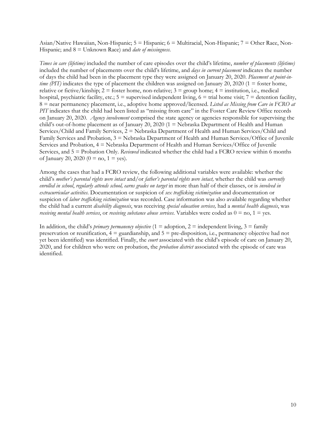Asian/Native Hawaiian, Non-Hispanic; 5 = Hispanic; 6 = Multiracial, Non-Hispanic; 7 = Other Race, Non-Hispanic; and 8 = Unknown Race) and *date of missingness*.

*Times in care (lifetime)* included the number of care episodes over the child's lifetime, *number of placements (lifetime)* included the number of placements over the child's lifetime, and *days in current placement* indicates the number of days the child had been in the placement type they were assigned on January 20, 2020. *Placement at point-intime (PIT)* indicates the type of placement the children was assigned on January 20, 2020 (1 = foster home, relative or fictive/kinship;  $2 =$  foster home, non-relative;  $3 =$  group home;  $4 =$  institution, i.e., medical hospital, psychiatric facility, etc.;  $5 =$  supervised independent living,  $6 =$  trial home visit;  $7 =$  detention facility, 8 = near permanency placement, i.e., adoptive home approved/licensed. *Listed as Missing from Care in FCRO at PIT* indicates that the child had been listed as "missing from care" in the Foster Care Review Office records on January 20, 2020. *Agency involvement* comprised the state agency or agencies responsible for supervising the child's out-of-home placement as of January 20, 2020 (1 = Nebraska Department of Health and Human Services/Child and Family Services, 2 = Nebraska Department of Health and Human Services/Child and Family Services and Probation, 3 = Nebraska Department of Health and Human Services/Office of Juvenile Services and Probation, 4 = Nebraska Department of Health and Human Services/Office of Juvenile Services, and 5 = Probation Only. *Reviewed* indicated whether the child had a FCRO review within 6 months of January 20, 2020 (0 = no, 1 = yes).

Among the cases that had a FCRO review, the following additional variables were available: whether the child's *mother's parental rights were intact* and/or *father's parental rights were intact,* whether the child was *currently enrolled in school*, *regularly attends school, earns grades on target* in more than half of their classes, or is *involved in extracurricular activities*. Documentation or suspicion of *sex trafficking victimization* and documentation or suspicion of *labor trafficking victimization* was recorded. Case information was also available regarding whether the child had a current *disability diagnosis*, was receiving *special education services,* had a *mental health diagnosis*, was *receiving mental health services*, or *receiving substance abuse services*. Variables were coded as 0 = no, 1 = yes.

In addition, the child's *primary permanency objective* (1 = adoption, 2 = independent living, 3 = family preservation or reunification,  $4 =$  guardianship, and  $5 =$  pre-disposition, i.e., permanency objective had not yet been identified) was identified. Finally, the *court* associated with the child's episode of care on January 20, 2020, and for children who were on probation, the *probation district* associated with the episode of care was identified.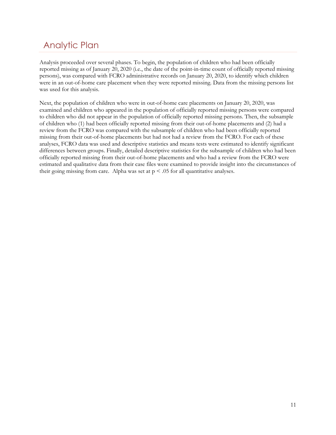## Analytic Plan

Analysis proceeded over several phases. To begin, the population of children who had been officially reported missing as of January 20, 2020 (i.e., the date of the point-in-time count of officially reported missing persons), was compared with FCRO administrative records on January 20, 2020, to identify which children were in an out-of-home care placement when they were reported missing. Data from the missing persons list was used for this analysis.

Next, the population of children who were in out-of-home care placements on January 20, 2020, was examined and children who appeared in the population of officially reported missing persons were compared to children who did not appear in the population of officially reported missing persons. Then, the subsample of children who (1) had been officially reported missing from their out-of-home placements and (2) had a review from the FCRO was compared with the subsample of children who had been officially reported missing from their out-of-home placements but had not had a review from the FCRO. For each of these analyses, FCRO data was used and descriptive statistics and means tests were estimated to identify significant differences between groups. Finally, detailed descriptive statistics for the subsample of children who had been officially reported missing from their out-of-home placements and who had a review from the FCRO were estimated and qualitative data from their case files were examined to provide insight into the circumstances of their going missing from care. Alpha was set at  $p < .05$  for all quantitative analyses.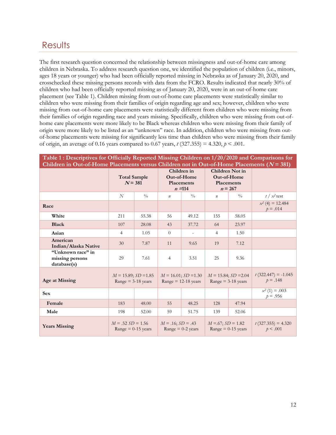#### **Results**

The first research question concerned the relationship between missingness and out-of-home care among children in Nebraska. To address research question one, we identified the population of children (i.e., minors, ages 18 years or younger) who had been officially reported missing in Nebraska as of January 20, 2020, and crosschecked these missing persons records with data from the FCRO. Results indicated that nearly 30% of children who had been officially reported missing as of January 20, 2020, were in an out-of-home care placement (see Table 1). Children missing from out-of-home care placements were statistically similar to children who were missing from their families of origin regarding age and sex; however, children who were missing from out-of-home care placements were statistically different from children who were missing from their families of origin regarding race and years missing. Specifically, children who were missing from out-ofhome care placements were more likely to be Black whereas children who were missing from their family of origin were more likely to be listed as an "unknown" race. In addition, children who were missing from outof-home placements were missing for significantly less time than children who were missing from their family of origin, an average of 0.16 years compared to 0.67 years,  $t$  (327.355) = 4.320,  $p < .001$ .

|                                                     | <b>Total Sample</b><br>$N = 381$                          |               |                        | Children in<br>Out-of-Home<br>Placements<br>$n = 114$ | Children Not in<br>Out-of-Home<br><b>Placements</b><br>$n = 267$ |                                                           | $\sim$ $\sim$ $\sim$ $\sim$ $\sim$  |
|-----------------------------------------------------|-----------------------------------------------------------|---------------|------------------------|-------------------------------------------------------|------------------------------------------------------------------|-----------------------------------------------------------|-------------------------------------|
|                                                     | N                                                         | $\frac{0}{0}$ | $\boldsymbol{n}$       | $\frac{0}{0}$                                         | $\boldsymbol{n}$                                                 | $\frac{0}{0}$                                             | $t / x^2$ test                      |
| Race                                                |                                                           |               |                        |                                                       |                                                                  |                                                           | $x^2$ (4) = 12.484<br>$p = .014$    |
| White                                               | 211                                                       | 55.38         | 56                     | 49.12                                                 | 155                                                              | 58.05                                                     |                                     |
| <b>Black</b>                                        | 107                                                       | 28.08         | 43                     | 37.72                                                 | 64                                                               | 23.97                                                     |                                     |
| Asian                                               | $\overline{4}$                                            | 1.05          | $\theta$               |                                                       | 4                                                                | 1.50                                                      |                                     |
| American<br>Indian/Alaska Native                    | 30                                                        | 7.87          | 11                     | 9.65                                                  | 19                                                               | 7.12                                                      |                                     |
| "Unknown race" in<br>missing persons<br>database(s) | 29                                                        | 7.61          | $\overline{4}$         | 3.51                                                  | 25                                                               | 9.36                                                      |                                     |
| <b>Age at Missing</b>                               | $M = 15.89$ ; $SD = 1.85$<br>$Range = 3-18 \text{ years}$ |               |                        | $M = 16.01$ ; $SD = 1.30$<br>Range $= 12-18$ years    |                                                                  | $M = 15.84$ ; $SD = 2.04$<br>$Range = 3-18 \text{ years}$ | $t(322.447) = -1.045$<br>$p = .148$ |
| <b>Sex</b>                                          |                                                           |               |                        |                                                       |                                                                  |                                                           | $x^2$ (1) = .003<br>$p = .956$      |
| Female                                              | 183                                                       | 48.00         | 55                     | 48.25                                                 | 128                                                              | 47.94                                                     |                                     |
| Male                                                | 198                                                       | 52.00         | 59                     | 51.75                                                 | 139                                                              | 52.06                                                     |                                     |
| <b>Years Missing</b>                                | $M = .52 SD = 1.56$<br>$Range = 0-15 \text{ years}$       |               | $M = .16$ ; $SD = .43$ | Range $= 0-2$ years                                   | $M = 67$ ; $SD = 1.82$<br>$Range = 0-15 \text{ years}$           |                                                           | $t(327.355) = 4.320$<br>p < .001    |

**Table 1 : Descriptives for Officially Reported Missing Children on 1/20/2020 and Comparisons for Children in Out-of-Home Placements versus Children not in Out-of-Home Placements (N = 381)**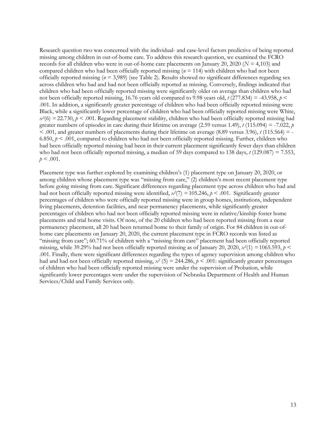Research question two was concerned with the individual- and case-level factors predictive of being reported missing among children in out-of-home care. To address this research question, we examined the FCRO records for all children who were in out-of-home care placements on January 20, 2020 (*N* = 4,103) and compared children who had been officially reported missing (*n* = 114) with children who had not been officially reported missing (*n* = 3,989) (see Table 2). Results showed no significant differences regarding sex across children who had and had not been officially reported as missing. Conversely, findings indicated that children who had been officially reported missing were significantly older on average than children who had not been officially reported missing, 16.76 years old compared to 9.98 years old,  $t$  (277.834) = -43.958,  $p$  < .001. In addition, a significantly greater percentage of children who had been officially reported missing were Black, while a significantly lower percentage of children who had been officially reported missing were White,  $x^{2}(6) = 22.730, p < .001$ . Regarding placement stability, children who had been officially reported missing had greater numbers of episodes in care during their lifetime on average (2.59 versus 1.49),  $t$  (115.094) = -7.022,  $p$  $< .001$ , and greater numbers of placements during their lifetime on average (8.89 versus 3.96),  $t$  (115.564) = -6.850,  $p < .001$ , compared to children who had not been officially reported missing. Further, children who had been officially reported missing had been in their current placement significantly fewer days than children who had not been officially reported missing, a median of 59 days compared to 138 days, *t* (129.087) = 7.553,  $p < .001$ .

Placement type was further explored by examining children's (1) placement type on January 20, 2020, or among children whose placement type was "missing from care," (2) children's most recent placement type before going missing from care. Significant differences regarding placement type across children who had and had not been officially reported missing were identified,  $x^2(7) = 105.246$ ,  $p < .001$ . Significantly greater percentages of children who were officially reported missing were in group homes, institutions, independent living placements, detention facilities, and near permanency placements, while significantly greater percentages of children who had not been officially reported missing were in relative/kinship foster home placements and trial home visits. Of note, of the 20 children who had been reported missing from a near permanency placement, all 20 had been returned home to their family of origin. For 84 children in out-ofhome care placements on January 20, 2020, the current placement type in FCRO records was listed as "missing from care"; 60.71% of children with a "missing from care" placement had been officially reported missing, while 39.29% had not been officially reported missing as of January 20, 2020,  $x^2(1) = 1065.593$ ,  $p <$ .001. Finally, there were significant differences regarding the types of agency supervision among children who had and had not been officially reported missing,  $x^2$  (5) = 244.286,  $p < .001$ : significantly greater percentages of children who had been officially reported missing were under the supervision of Probation, while significantly lower percentages were under the supervision of Nebraska Department of Health and Human Services/Child and Family Services only.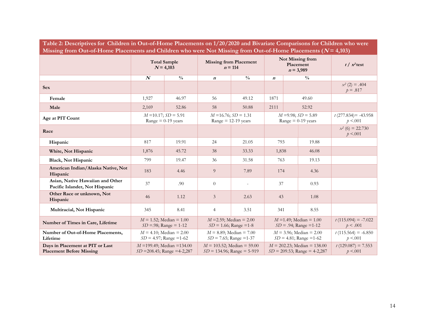| Table 2: Descriptives for Children in Out-of-Home Placements on 1/20/2020 and Bivariate Comparisons for Children who were<br>Missing from Out-of-Home Placements and Children who were Not Missing from Out-of-Home Placements ( $N = 4,103$ ) |                  |                                                                   |                  |                                                                |                                                                   |                                                          |                                  |                                    |  |
|------------------------------------------------------------------------------------------------------------------------------------------------------------------------------------------------------------------------------------------------|------------------|-------------------------------------------------------------------|------------------|----------------------------------------------------------------|-------------------------------------------------------------------|----------------------------------------------------------|----------------------------------|------------------------------------|--|
|                                                                                                                                                                                                                                                |                  | <b>Total Sample</b><br>$N = 4,103$                                |                  | <b>Missing from Placement</b><br>$n = 114$                     |                                                                   | Not Missing from<br>Placement<br>$n = 3,989$             |                                  | $t / x^2$ test                     |  |
|                                                                                                                                                                                                                                                | $\boldsymbol{N}$ | $\frac{0}{0}$                                                     | $\boldsymbol{n}$ | $\frac{0}{0}$                                                  | $\boldsymbol{n}$                                                  |                                                          | $\frac{0}{0}$                    |                                    |  |
| <b>Sex</b>                                                                                                                                                                                                                                     |                  |                                                                   |                  |                                                                |                                                                   |                                                          |                                  | $x^2$ (2) = .404<br>$p = .817$     |  |
| Female                                                                                                                                                                                                                                         | 1,927            | 46.97                                                             | 56               | 49.12                                                          | 1871                                                              |                                                          | 49.60                            |                                    |  |
| Male                                                                                                                                                                                                                                           | 2,169            | 52.86                                                             | 58               | 50.88                                                          | 2111                                                              |                                                          | 52.92                            |                                    |  |
| Age at PIT Count                                                                                                                                                                                                                               |                  | $M = 10.17$ ; $SD = 5.91$<br>$Range = 0-19$ years                 |                  | $M = 16.76$ ; $SD = 1.31$<br>$Range = 12-19 \text{ years}$     |                                                                   | $M = 9.98$ ; $SD = 5.89$<br>$Range = 0-19$ years         |                                  | $t(277.834) = -43.958$<br>p < .001 |  |
| Race                                                                                                                                                                                                                                           |                  |                                                                   |                  |                                                                |                                                                   |                                                          |                                  | $x^2$ (6) = 22.730<br>p < .001     |  |
| Hispanic                                                                                                                                                                                                                                       | 817              | 19.91                                                             | 24               | 21.05                                                          | 793                                                               |                                                          | 19.88                            |                                    |  |
| White, Not Hispanic                                                                                                                                                                                                                            | 1,876            | 45.72                                                             | 38               | 33.33                                                          | 1,838                                                             |                                                          | 46.08                            |                                    |  |
| <b>Black, Not Hispanic</b>                                                                                                                                                                                                                     | 799              | 19.47                                                             | 36               | 31.58                                                          | 763                                                               |                                                          | 19.13                            |                                    |  |
| American Indian/Alaska Native, Not<br>Hispanic                                                                                                                                                                                                 | 183              | 4.46                                                              | 9                | 7.89                                                           | 174                                                               |                                                          | 4.36                             |                                    |  |
| Asian, Native Hawaiian and Other<br>Pacific Islander, Not Hispanic                                                                                                                                                                             | 37               | .90                                                               | $\theta$         |                                                                | 37                                                                |                                                          | 0.93                             |                                    |  |
| Other Race or unknown, Not<br>Hispanic                                                                                                                                                                                                         | 46               | 1.12                                                              | 3                | 2.63                                                           | 43                                                                |                                                          | 1.08                             |                                    |  |
| Multiracial, Not Hispanic                                                                                                                                                                                                                      | 345              | 8.41                                                              | $\overline{4}$   | 3.51                                                           | 341                                                               |                                                          | 8.55                             |                                    |  |
| Number of Times in Care, Lifetime                                                                                                                                                                                                              |                  | $M = 1.52$ ; Median = 1.00<br>$SD = .98$ ; Range = 1-12           |                  | $M = 2.59$ ; Median = 2.00<br>$SD = 1.66$ ; Range = 1-8        |                                                                   | $M = 1.49$ ; Median = 1.00<br>$SD = .94$ ; Range = 1-12  |                                  | $t(115.094) = -7.022$<br>p < .001  |  |
| Number of Out-of-Home Placements,<br>Lifetime                                                                                                                                                                                                  |                  | $M = 4.10$ ; Median = 2.00<br>$SD = 4.97$ ; Range = 1-62          |                  | $M = 8.89$ ; Median = 7.00<br>$SD = 7.65$ ; Range = 1-37       |                                                                   | $M = 3.96$ ; Median = 2.00<br>$SD = 4.81$ ; Range = 1-62 |                                  | $t(115.564) = -6.850$<br>p < .001  |  |
| Days in Placement at PIT or Last<br><b>Placement Before Missing</b>                                                                                                                                                                            |                  | $M = 199.49$ ; Median = 134.00<br>$SD = 208.45$ ; Range = 4-2,287 |                  | $M = 103.52$ ; Median = 59.00<br>$SD = 134.96$ ; Range = 5-919 | $M = 202.23$ ; Median = 138.00<br>$SD = 209.53$ ; Range = 4-2,287 |                                                          | $t(129.087) = 7.553$<br>p < .001 |                                    |  |

**Table 2: Descriptives for Children in Out-of-Home Placements on 1/20/2020 and Bivariate Comparisons for Children who were**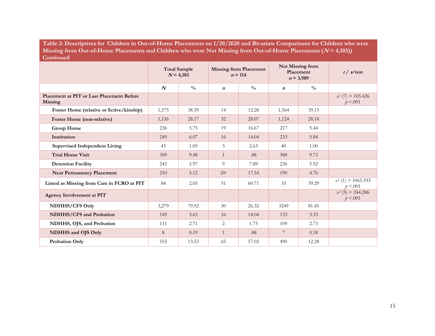**Table 2: Descriptives for Children in Out-of-Home Placements on 1/20/2020 and Bivariate Comparisons for Children who were**  Missing from Out-of-Home Placements and Children who were Not Missing from Out-of-Home Placements  $(N = 4,103)$ **Continued**

|                                                      |                  | <b>Total Sample</b><br>$N = 4,103$ |                  | Not Missing from<br><b>Missing from Placement</b><br>Placement<br>$n = 114$<br>$n = 3,989$ |                  |               | $t / x^2$ test                   |
|------------------------------------------------------|------------------|------------------------------------|------------------|--------------------------------------------------------------------------------------------|------------------|---------------|----------------------------------|
|                                                      | $\boldsymbol{N}$ | $\frac{0}{0}$                      | $\boldsymbol{n}$ | $\frac{0}{0}$                                                                              | $\boldsymbol{n}$ | $\frac{0}{0}$ |                                  |
| Placement at PIT or Last Placement Before<br>Missing |                  |                                    |                  |                                                                                            |                  |               | $x^2$ (7) = 105.426<br>p < .001  |
| Foster Home (relative or fictive/kinship)            | 1,575            | 38.39                              | 14               | 12.28                                                                                      | 1,564            | 39.13         |                                  |
| Foster Home (non-relative)                           | 1,156            | 28.17                              | 32               | 28.07                                                                                      | 1,124            | 28.18         |                                  |
| <b>Group Home</b>                                    | 236              | 5.75                               | 19               | 16.67                                                                                      | 217              | 5.44          |                                  |
| Institution                                          | 249              | 6.07                               | 16               | 14.04                                                                                      | 233              | 5.84          |                                  |
| <b>Supervised Independent Living</b>                 | 43               | 1.05                               | 3                | 2.63                                                                                       | 40               | 1.00          |                                  |
| <b>Trial Home Visit</b>                              | 389              | 9.48                               | $\mathbf{1}$     | .88                                                                                        | 388              | 9.73          |                                  |
| <b>Detention Facility</b>                            | 245              | 5.97                               | 9                | 7.89                                                                                       | 236              | 5.92          |                                  |
| <b>Near Permanency Placement</b>                     | 210              | 5.12                               | 20 <sup>a</sup>  | 17.54                                                                                      | 190              | 4.76          |                                  |
| Listed as Missing from Care in FCRO at PIT           | 84               | 2.05                               | 51               | 60.71                                                                                      | 33               | 39.29         | $x^2$ (1) = 1065.593<br>p < .001 |
| <b>Agency Involvement at PIT</b>                     |                  |                                    |                  |                                                                                            |                  |               | $x^2$ (5) = 244.286<br>p < .001  |
| NDHHS/CFS Only                                       | 3,279            | 79.92                              | 30               | 26.32                                                                                      | 3249             | 81.45         |                                  |
| <b>NDHHS/CFS</b> and Probation                       | 149              | 3.63                               | 16               | 14.04                                                                                      | 133              | 3.33          |                                  |
| NDHHS, OJS, and Probation                            | 111              | 2.71                               | 2                | 1.75                                                                                       | 109              | 2.73          |                                  |
| NDHHS and OJS Only                                   | 8                | 0.19                               | $\overline{1}$   | .88                                                                                        | 7                | 0.18          |                                  |
| Probation Only                                       | 555              | 13.53                              | 65               | 57.02                                                                                      | 490              | 12.28         |                                  |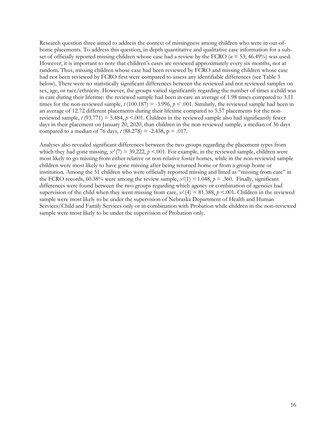Research question three aimed to address the context of missingness among children who were in out-ofhome placements. To address this question, in-depth quantitative and qualitative case information for a subset of officially reported missing children whose case had a review by the FCRO (*n* = 53; 46.49%) was used. However, it is important to note that children's cases are reviewed approximately every six months, not at random. Thus, missing children whose case had been reviewed by FCRO and missing children whose case had not been reviewed by FCRO first were compared to assess any identifiable differences (see Table 3 below). There were no statistically significant differences between the reviewed and not reviewed samples on sex, age, or race/ethnicity. However, the groups varied significantly regarding the number of times a child was in care during their lifetime: the reviewed sample had been in care an average of 1.98 times compared to 3.11 times for the non-reviewed sample,  $t (100.187) = -3.996$ ,  $p < .001$ . Similarly, the reviewed sample had been in an average of 12.72 different placements during their lifetime compared to 5.57 placements for the nonreviewed sample, *t* (93.771) = 5.484, *p* <.001. Children in the reviewed sample also had significantly fewer days in their placement on January 20, 2020, than children in the non-reviewed sample, a median of 36 days compared to a median of 76 days, *t* (88.278) = -2.438, p = .017.

Analyses also revealed significant differences between the two groups regarding the placement types from which they had gone missing,  $x^2$  (7) = 39.222,  $p$  <.001. For example, in the reviewed sample, children were most likely to go missing from either relative or non-relative foster homes, while in the non-reviewed sample children were most likely to have gone missing after being returned home or from a group home or institution. Among the 51 children who were officially reported missing and listed as "missing from care" in the FCRO records, 60.38% were among the review sample,  $x^2(1) = 1.048$ ,  $p = .360$ . Finally, significant differences were found between the two groups regarding which agency or combination of agencies had supervision of the child when they went missing from care,  $x^2$  (4) = 81.388,  $p$  <.001. Children in the reviewed sample were most likely to be under the supervision of Nebraska Department of Health and Human Services/Child and Family Services only or in combination with Probation while children in the non-reviewed sample were most likely to be under the supervision of Probation only.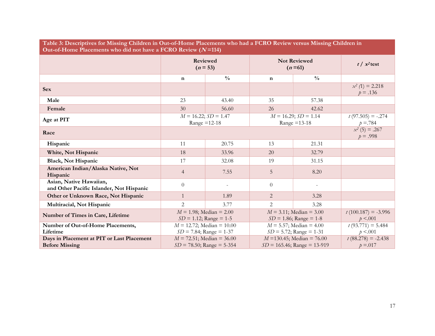| Table 3: Descriptives for Missing Children in Out-of-Home Placements who had a FCRO Review versus Missing Children in<br>Out-of-Home Placements who did not have a FCRO Review $(N=114)$ |                                                                                                                                 |                                             |                                                          |                                 |                                   |  |  |
|------------------------------------------------------------------------------------------------------------------------------------------------------------------------------------------|---------------------------------------------------------------------------------------------------------------------------------|---------------------------------------------|----------------------------------------------------------|---------------------------------|-----------------------------------|--|--|
|                                                                                                                                                                                          |                                                                                                                                 | Reviewed<br>$(n = 53)$                      |                                                          | <b>Not Reviewed</b><br>$(n=61)$ |                                   |  |  |
|                                                                                                                                                                                          | n                                                                                                                               | $\frac{0}{0}$                               | $\mathbf n$                                              | $\frac{0}{0}$                   |                                   |  |  |
| <b>Sex</b>                                                                                                                                                                               |                                                                                                                                 |                                             |                                                          |                                 | $x^2$ (1) = 2.218<br>$p = .136$   |  |  |
| Male                                                                                                                                                                                     | 23                                                                                                                              | 43.40                                       | 35                                                       | 57.38                           |                                   |  |  |
| Female                                                                                                                                                                                   | 30                                                                                                                              | 56.60                                       | 26                                                       | 42.62                           |                                   |  |  |
| Age at PIT                                                                                                                                                                               |                                                                                                                                 | $M = 16.22$ ; $SD = 1.47$<br>Range $=12-18$ | $M = 16.29$ ; $SD = 1.14$<br>Range $=13-18$              |                                 | $t(97.505) = -.274$<br>$p = 784$  |  |  |
| Race                                                                                                                                                                                     |                                                                                                                                 |                                             |                                                          | $x^2$ (5) = .267<br>$p = .998$  |                                   |  |  |
| Hispanic                                                                                                                                                                                 | 11                                                                                                                              | 20.75                                       | 13                                                       | 21.31                           |                                   |  |  |
| White, Not Hispanic                                                                                                                                                                      | 18                                                                                                                              | 33.96                                       | 20                                                       | 32.79                           |                                   |  |  |
| <b>Black, Not Hispanic</b>                                                                                                                                                               | 17                                                                                                                              | 32.08                                       | 19                                                       | 31.15                           |                                   |  |  |
| American Indian/Alaska Native, Not<br>Hispanic                                                                                                                                           | $\overline{4}$                                                                                                                  | 7.55                                        | 5                                                        | 8.20                            |                                   |  |  |
| Asian, Native Hawaiian,<br>and Other Pacific Islander, Not Hispanic                                                                                                                      | $\overline{0}$                                                                                                                  |                                             | $\theta$                                                 |                                 |                                   |  |  |
| Other or Unknown Race, Not Hispanic                                                                                                                                                      | $\mathbf{1}$                                                                                                                    | 1.89                                        | $\overline{2}$                                           | 3.28                            |                                   |  |  |
| Multiracial, Not Hispanic                                                                                                                                                                | 2                                                                                                                               | 3.77                                        | 2                                                        | 3.28                            |                                   |  |  |
| Number of Times in Care, Lifetime                                                                                                                                                        | $M = 1.98$ ; Median = 2.00<br>$SD = 1.12$ ; Range = 1-5                                                                         |                                             | $M = 3.11$ ; Median = 3.00<br>$SD = 1.86$ ; Range = 1-8  |                                 | $t(100.187) = -3.996$<br>p < .001 |  |  |
| Number of Out-of-Home Placements,<br>Lifetime                                                                                                                                            | $M = 12.72$ ; Median = 10.00<br>$SD = 7.84$ ; Range = 1-37                                                                      |                                             | $M = 5.57$ ; Median = 4.00<br>$SD = 5.72$ ; Range = 1-31 |                                 | $t(93.771) = 5.484$<br>p < .001   |  |  |
| Days in Placement at PIT or Last Placement<br><b>Before Missing</b>                                                                                                                      | $M = 72.51$ ; Median = 36.00<br>$M = 130.45$ ; Median = 76.00<br>$SD = 78.50$ ; Range = 5-354<br>$SD = 165.46$ ; Range = 13-919 |                                             | $t(88.278) = -2.438$<br>$p = 0.017$                      |                                 |                                   |  |  |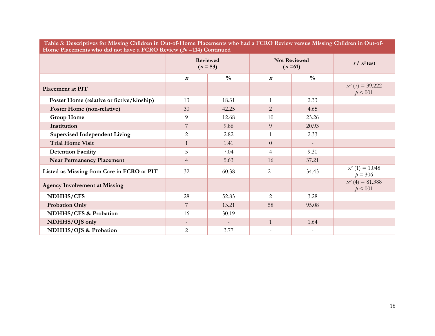| Table 3: Descriptives for Missing Children in Out-of-Home Placements who had a FCRO Review versus Missing Children in Out-of-<br>Home Placements who did not have a FCRO Review $(N=114)$ Continued |                          |                               |                                 |               |                                  |  |  |
|-----------------------------------------------------------------------------------------------------------------------------------------------------------------------------------------------------|--------------------------|-------------------------------|---------------------------------|---------------|----------------------------------|--|--|
|                                                                                                                                                                                                     |                          | <b>Reviewed</b><br>$(n = 53)$ | <b>Not Reviewed</b><br>$(n=61)$ |               | $t / x^2$ test                   |  |  |
|                                                                                                                                                                                                     | $\boldsymbol{n}$         | $\frac{0}{0}$                 | $\boldsymbol{n}$                | $\frac{0}{0}$ |                                  |  |  |
| Placement at PIT                                                                                                                                                                                    |                          |                               |                                 |               | $x^2$ (7) = 39.222<br>p < .001   |  |  |
| Foster Home (relative or fictive/kinship)                                                                                                                                                           | 13                       | 18.31                         | $\mathbf{1}$                    | 2.33          |                                  |  |  |
| <b>Foster Home (non-relative)</b>                                                                                                                                                                   | 30                       | 42.25                         | $\overline{2}$                  | 4.65          |                                  |  |  |
| <b>Group Home</b>                                                                                                                                                                                   | 9                        | 12.68                         | 10                              | 23.26         |                                  |  |  |
| Institution                                                                                                                                                                                         | 7                        | 9.86                          | 9                               | 20.93         |                                  |  |  |
| <b>Supervised Independent Living</b>                                                                                                                                                                | $\overline{2}$           | 2.82                          | $\mathbf{1}$                    | 2.33          |                                  |  |  |
| <b>Trial Home Visit</b>                                                                                                                                                                             | $\mathbf{1}$             | 1.41                          | $\overline{0}$                  |               |                                  |  |  |
| <b>Detention Facility</b>                                                                                                                                                                           | 5                        | 7.04                          | $\overline{4}$                  | 9.30          |                                  |  |  |
| <b>Near Permanency Placement</b>                                                                                                                                                                    | $\overline{4}$           | 5.63                          | 16                              | 37.21         |                                  |  |  |
| Listed as Missing from Care in FCRO at PIT                                                                                                                                                          | 32                       | 60.38                         | 21                              | 34.43         | $x^2$ (1) = 1.048<br>$p = 0.306$ |  |  |
| <b>Agency Involvement at Missing</b>                                                                                                                                                                |                          |                               |                                 |               | $x^2$ (4) = 81.388<br>p < .001   |  |  |
| NDHHS/CFS                                                                                                                                                                                           | 28                       | 52.83                         | 2                               | 3.28          |                                  |  |  |
| <b>Probation Only</b>                                                                                                                                                                               | 7                        | 13.21                         | 58                              | 95.08         |                                  |  |  |
| NDHHS/CFS & Probation                                                                                                                                                                               | 16                       | 30.19                         | $\overline{\phantom{a}}$        |               |                                  |  |  |
| NDHHS/OJS only                                                                                                                                                                                      | $\overline{\phantom{a}}$ |                               | $\mathbf{1}$                    | 1.64          |                                  |  |  |
| NDHHS/OJS & Probation                                                                                                                                                                               | $\overline{2}$           | 3.77                          | $\overline{a}$                  |               |                                  |  |  |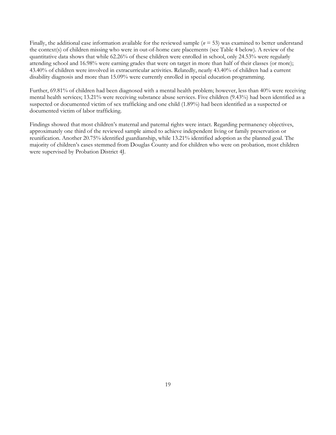Finally, the additional case information available for the reviewed sample ( $n = 53$ ) was examined to better understand the context(s) of children missing who were in out-of-home care placements (see Table 4 below). A review of the quantitative data shows that while 62.26% of these children were enrolled in school, only 24.53% were regularly attending school and 16.98% were earning grades that were on target in more than half of their classes (or more); 43.40% of children were involved in extracurricular activities. Relatedly, nearly 43.40% of children had a current disability diagnosis and more than 15.09% were currently enrolled in special education programming.

Further, 69.81% of children had been diagnosed with a mental health problem; however, less than 40% were receiving mental health services; 13.21% were receiving substance abuse services. Five children (9.43%) had been identified as a suspected or documented victim of sex trafficking and one child (1.89%) had been identified as a suspected or documented victim of labor trafficking.

Findings showed that most children's maternal and paternal rights were intact. Regarding permanency objectives, approximately one third of the reviewed sample aimed to achieve independent living or family preservation or reunification. Another 20.75% identified guardianship, while 13.21% identified adoption as the planned goal. The majority of children's cases stemmed from Douglas County and for children who were on probation, most children were supervised by Probation District 4J.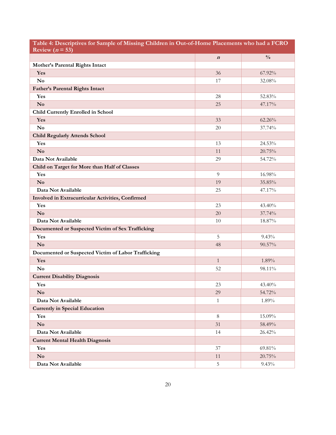| Table 4: Descriptives for Sample of Missing Children in Out-of-Home Placements who had a FCRO<br>Review ( $n = 53$ ) |                  |               |  |  |  |
|----------------------------------------------------------------------------------------------------------------------|------------------|---------------|--|--|--|
|                                                                                                                      | $\boldsymbol{n}$ | $\frac{0}{0}$ |  |  |  |
| Mother's Parental Rights Intact                                                                                      |                  |               |  |  |  |
| Yes                                                                                                                  | 36               | 67.92%        |  |  |  |
| N <sub>o</sub>                                                                                                       | 17               | 32.08%        |  |  |  |
| <b>Father's Parental Rights Intact</b>                                                                               |                  |               |  |  |  |
| Yes                                                                                                                  | 28               | 52.83%        |  |  |  |
| $\mathbf{N}\mathbf{o}$                                                                                               | 25               | 47.17%        |  |  |  |
| <b>Child Currently Enrolled in School</b>                                                                            |                  |               |  |  |  |
| Yes                                                                                                                  | 33               | 62.26%        |  |  |  |
| No                                                                                                                   | 20               | 37.74%        |  |  |  |
| <b>Child Regularly Attends School</b>                                                                                |                  |               |  |  |  |
| Yes                                                                                                                  | 13               | 24.53%        |  |  |  |
| $\mathbf{N}\mathbf{o}$                                                                                               | 11               | 20.75%        |  |  |  |
| Data Not Available                                                                                                   | 29               | 54.72%        |  |  |  |
| Child on Target for More than Half of Classes                                                                        |                  |               |  |  |  |
| Yes                                                                                                                  | 9                | 16.98%        |  |  |  |
| N <sub>0</sub>                                                                                                       | 19               | 35.85%        |  |  |  |
| Data Not Available                                                                                                   | 25               | 47.17%        |  |  |  |
| Involved in Extracurricular Activities, Confirmed                                                                    |                  |               |  |  |  |
| Yes                                                                                                                  | 23               | 43.40%        |  |  |  |
| N <sub>0</sub>                                                                                                       | 20               | 37.74%        |  |  |  |
| Data Not Available                                                                                                   | 10               | 18.87%        |  |  |  |
| Documented or Suspected Victim of Sex Trafficking                                                                    |                  |               |  |  |  |
| Yes                                                                                                                  | 5                | 9.43%         |  |  |  |
| $\mathbf{N}\mathbf{o}$                                                                                               | 48               | 90.57%        |  |  |  |
| Documented or Suspected Victim of Labor Trafficking                                                                  |                  |               |  |  |  |
| Yes                                                                                                                  | $\mathbf{1}$     | 1.89%         |  |  |  |
| $\mathbf{N}\mathbf{o}$                                                                                               | 52               | 98.11%        |  |  |  |
| <b>Current Disability Diagnosis</b>                                                                                  |                  |               |  |  |  |
| Yes                                                                                                                  | 23               | 43.40%        |  |  |  |
| N <sub>0</sub>                                                                                                       | 29               | 54.72%        |  |  |  |
| Data Not Available                                                                                                   | 1                | 1.89%         |  |  |  |
| <b>Currently in Special Education</b>                                                                                |                  |               |  |  |  |
| Yes                                                                                                                  | $8\,$            | 15.09%        |  |  |  |
| $\mathbf{N}\mathbf{o}$                                                                                               | 31               | 58.49%        |  |  |  |
| Data Not Available                                                                                                   | 14               | 26.42%        |  |  |  |
| <b>Current Mental Health Diagnosis</b>                                                                               |                  |               |  |  |  |
| Yes                                                                                                                  | 37               | 69.81%        |  |  |  |
| $\mathbf{N}\mathbf{o}$                                                                                               | 11               | 20.75%        |  |  |  |
| Data Not Available                                                                                                   | 5                | 9.43%         |  |  |  |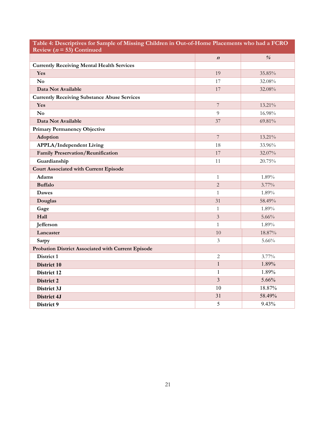| Table 4: Descriptives for Sample of Missing Children in Out-of-Home Placements who had a FCRO<br>Review ( $n = 53$ ) Continued |                  |                         |  |  |  |  |
|--------------------------------------------------------------------------------------------------------------------------------|------------------|-------------------------|--|--|--|--|
|                                                                                                                                | $\boldsymbol{n}$ | $\frac{\theta}{\theta}$ |  |  |  |  |
| <b>Currently Receiving Mental Health Services</b>                                                                              |                  |                         |  |  |  |  |
| Yes                                                                                                                            | 19               | 35.85%                  |  |  |  |  |
| $\mathbf{N}\mathbf{o}$                                                                                                         | 17               | 32.08%                  |  |  |  |  |
| Data Not Available                                                                                                             | 17               | 32.08%                  |  |  |  |  |
| <b>Currently Receiving Substance Abuse Services</b>                                                                            |                  |                         |  |  |  |  |
| Yes                                                                                                                            | $\overline{7}$   | 13.21%                  |  |  |  |  |
| $\mathbf{N}\mathbf{o}$                                                                                                         | 9                | 16.98%                  |  |  |  |  |
| Data Not Available                                                                                                             | 37               | 69.81%                  |  |  |  |  |
| <b>Primary Permanency Objective</b>                                                                                            |                  |                         |  |  |  |  |
| Adoption                                                                                                                       | $\overline{7}$   | 13.21%                  |  |  |  |  |
| <b>APPLA/Independent Living</b>                                                                                                | 18               | 33.96%                  |  |  |  |  |
| <b>Family Preservation/Reunification</b>                                                                                       | 17               | 32.07%                  |  |  |  |  |
| Guardianship                                                                                                                   | 11               | 20.75%                  |  |  |  |  |
| <b>Court Associated with Current Episode</b>                                                                                   |                  |                         |  |  |  |  |
| Adams                                                                                                                          | $\mathbf{1}$     | 1.89%                   |  |  |  |  |
| <b>Buffalo</b>                                                                                                                 | $\overline{2}$   | 3.77%                   |  |  |  |  |
| <b>Dawes</b>                                                                                                                   | $\mathbf{1}$     | 1.89%                   |  |  |  |  |
| Douglas                                                                                                                        | 31               | 58.49%                  |  |  |  |  |
| Gage                                                                                                                           | $\mathbf{1}$     | 1.89%                   |  |  |  |  |
| Hall                                                                                                                           | $\mathfrak{Z}$   | 5.66%                   |  |  |  |  |
| Jefferson                                                                                                                      | $\mathbf{1}$     | 1.89%                   |  |  |  |  |
| Lancaster                                                                                                                      | 10               | 18.87%                  |  |  |  |  |
| Sarpy                                                                                                                          | $\mathfrak{Z}$   | $5.66\%$                |  |  |  |  |
| Probation District Associated with Current Episode                                                                             |                  |                         |  |  |  |  |
| District 1                                                                                                                     | $\overline{2}$   | 3.77%                   |  |  |  |  |
| <b>District 10</b>                                                                                                             | $\mathbf{1}$     | 1.89%                   |  |  |  |  |
| <b>District 12</b>                                                                                                             | $\mathbf{1}$     | 1.89%                   |  |  |  |  |
| <b>District 2</b>                                                                                                              | $\overline{3}$   | 5.66%                   |  |  |  |  |
| District 3J                                                                                                                    | 10               | 18.87%                  |  |  |  |  |
| <b>District 4J</b>                                                                                                             | 31               | 58.49%                  |  |  |  |  |
| District 9                                                                                                                     | $\overline{5}$   | 9.43%                   |  |  |  |  |

21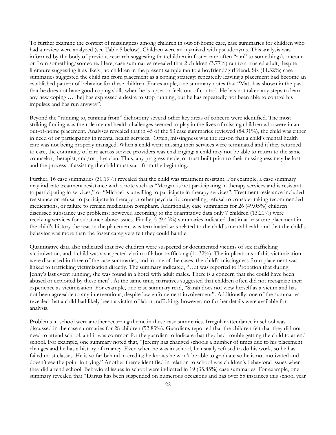To further examine the context of missingness among children in out-of-home care, case summaries for children who had a review were analyzed (see Table 5 below). Children were anonymized with pseudonyms. This analysis was informed by the body of previous research suggesting that children in foster care often "run" to something/someone or from something/someone. Here, case summaries revealed that 2 children (3.77%) ran to a trusted adult, despite literature suggesting it as likely, no children in the present sample ran to a boyfriend/girlfriend. Six (11.32%) case summaries suggested the child ran from placement as a coping strategy: repeatedly leaving a placement had become an established pattern of behavior for these children. For example, one summary notes that "Matt has shown in the past that he does not have good coping skills when he is upset or feels out of control. He has not taken any steps to learn any new coping … [he] has expressed a desire to stop running, but he has repeatedly not been able to control his impulses and has run anyway".

Beyond the "running to, running from" dichotomy several other key areas of concern were identified. The most striking finding was the role mental health challenges seemed to play in the lives of missing children who were in an out-of-home placement. Analyses revealed that in 45 of the 53 case summaries reviewed (84.91%), the child was either in need of or participating in mental health services. Often, missingness was the reason that a child's mental health care was not being properly managed. When a child went missing their services were terminated and if they returned to care, the continuity of care across service providers was challenging: a child may not be able to return to the same counselor, therapist, and/or physician. Thus, any progress made, or trust built prior to their missingness may be lost and the process of assisting the child must start from the beginning.

Further, 16 case summaries (30.19%) revealed that the child was treatment resistant. For example, a case summary may indicate treatment resistance with a note such as "Morgan is not participating in therapy services and is resistant to participating in services," or "Michael is unwilling to participate in therapy services". Treatment resistance included resistance or refusal to participate in therapy or other psychiatric counseling, refusal to consider taking recommended medications, or failure to remain medication compliant. Additionally, case summaries for 26 (49.05%) children discussed substance use problems; however, according to the quantitative data only 7 children (13.21%) were receiving services for substance abuse issues. Finally, 5 (9.43%) summaries indicated that in at least one placement in the child's history the reason the placement was terminated was related to the child's mental health and that the child's behavior was more than the foster caregivers felt they could handle.

Quantitative data also indicated that five children were suspected or documented victims of sex trafficking victimization, and 1 child was a suspected victim of labor trafficking (11.32%). The implications of this victimization were discussed in three of the case summaries, and in one of the cases, the child's missingness from placement was linked to trafficking victimization directly. The summary indicated, "…it was reported to Probation that during Jenny's last event running, she was found in a hotel with adult males. There is a concern that she could have been abused or exploited by these men". At the same time, narratives suggested that children often did not recognize their experience as victimization. For example, one case summary read, "Sarah does not view herself as a victim and has not been agreeable to any interventions, despite law enforcement involvement". Additionally, one of the summaries revealed that a child had likely been a victim of labor trafficking; however, no further details were available for analysis.

Problems in school were another recurring theme in these case summaries. Irregular attendance in school was discussed in the case summaries for 28 children (52.83%). Guardians reported that the children felt that they did not need to attend school, and it was common for the guardian to indicate that they had trouble getting the child to attend school. For example, one summary noted that, "Jeremy has changed schools a number of times due to his placement changes and he has a history of truancy. Even when he was in school, he usually refused to do his work, so he has failed most classes. He is so far behind in credits; he knows he won't be able to graduate so he is not motivated and doesn't see the point in trying." Another theme identified in relation to school was children's behavioral issues when they did attend school. Behavioral issues in school were indicated in 19 (35.85%) case summaries. For example, one summary revealed that "Darius has been suspended on numerous occasions and has over 55 instances this school year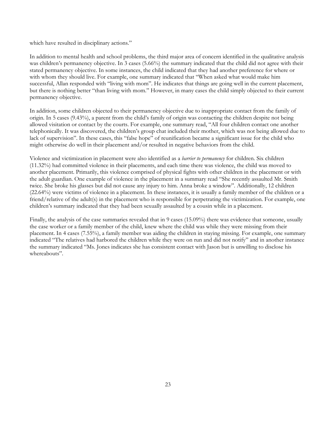which have resulted in disciplinary actions."

In addition to mental health and school problems, the third major area of concern identified in the qualitative analysis was children's permanency objective. In 3 cases (5.66%) the summary indicated that the child did not agree with their stated permanency objective. In some instances, the child indicated that they had another preference for where or with whom they should live. For example, one summary indicated that "When asked what would make him successful, Allan responded with "living with mom". He indicates that things are going well in the current placement, but there is nothing better "than living with mom." However, in many cases the child simply objected to their current permanency objective.

In addition, some children objected to their permanency objective due to inappropriate contact from the family of origin. In 5 cases (9.43%), a parent from the child's family of origin was contacting the children despite not being allowed visitation or contact by the courts. For example, one summary read, "All four children contact one another telephonically. It was discovered, the children's group chat included their mother, which was not being allowed due to lack of supervision". In these cases, this "false hope" of reunification became a significant issue for the child who might otherwise do well in their placement and/or resulted in negative behaviors from the child.

Violence and victimization in placement were also identified as a *barrier to permanency* for children. Six children (11.32%) had committed violence in their placements, and each time there was violence, the child was moved to another placement. Primarily, this violence comprised of physical fights with other children in the placement or with the adult guardian. One example of violence in the placement in a summary read "She recently assaulted Mr. Smith twice. She broke his glasses but did not cause any injury to him. Anna broke a window". Additionally, 12 children (22.64%) were victims of violence in a placement. In these instances, it is usually a family member of the children or a friend/relative of the adult(s) in the placement who is responsible for perpetrating the victimization. For example, one children's summary indicated that they had been sexually assaulted by a cousin while in a placement.

Finally, the analysis of the case summaries revealed that in 9 cases (15.09%) there was evidence that someone, usually the case worker or a family member of the child, knew where the child was while they were missing from their placement. In 4 cases (7.55%), a family member was aiding the children in staying missing. For example, one summary indicated "The relatives had harbored the children while they were on run and did not notify" and in another instance the summary indicated "Ms. Jones indicates she has consistent contact with Jason but is unwilling to disclose his whereabouts".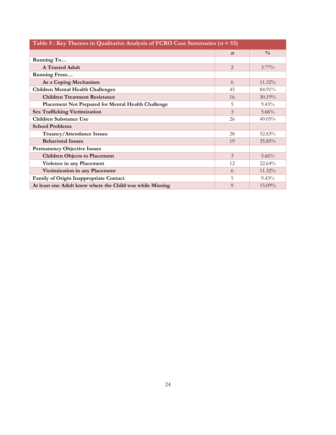| Table 5 : Key Themes in Qualitative Analysis of FCRO Case Summaries ( $n = 53$ ) |                  |               |  |  |  |
|----------------------------------------------------------------------------------|------------------|---------------|--|--|--|
|                                                                                  | $\boldsymbol{n}$ | $\frac{0}{0}$ |  |  |  |
| Running To                                                                       |                  |               |  |  |  |
| <b>A Trusted Adult</b>                                                           | 2                | $3.77\%$      |  |  |  |
| Running From                                                                     |                  |               |  |  |  |
| As a Coping Mechanism                                                            | 6                | 11.32%        |  |  |  |
| <b>Children Mental Health Challenges</b>                                         | 45               | 84.91%        |  |  |  |
| <b>Children Treatment Resistance</b>                                             | 16               | 30.19%        |  |  |  |
| Placement Not Prepared for Mental Health Challenge                               | 5                | $9.43\%$      |  |  |  |
| <b>Sex Trafficking Victimization</b>                                             | 3                | $5.66\%$      |  |  |  |
| <b>Children Substance Use</b>                                                    | 26               | 49.05%        |  |  |  |
| <b>School Problems</b>                                                           |                  |               |  |  |  |
| Truancy/Attendance Issues                                                        | 28               | 52.83%        |  |  |  |
| <b>Behavioral Issues</b>                                                         | 19               | 35.85%        |  |  |  |
| <b>Permanency Objective Issues</b>                                               |                  |               |  |  |  |
| <b>Children Objects to Placement</b>                                             | $\mathfrak{Z}$   | $5.66\%$      |  |  |  |
| Violence in any Placement                                                        | 12               | 22.64%        |  |  |  |
| Victimization in any Placement                                                   | 6                | 11.32%        |  |  |  |
| Family of Origin Inappropriate Contact                                           | 5                | $9.43\%$      |  |  |  |
| At least one Adult knew where the Child was while Missing                        | 9                | 15.09%        |  |  |  |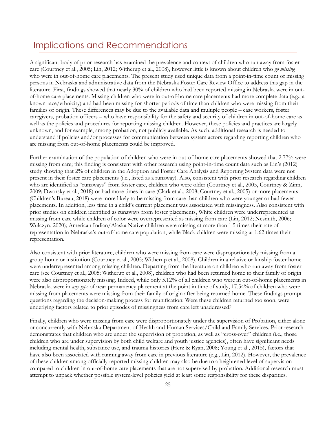#### Implications and Recommendations

A significant body of prior research has examined the prevalence and context of children who run away from foster care (Courtney et al., 2005; Lin, 2012; Witherup et al., 2008), however little is known about children who *go missing* who were in out-of-home care placements. The present study used unique data from a point-in-time count of missing persons in Nebraska and administrative data from the Nebraska Foster Care Review Office to address this gap in the literature. First, findings showed that nearly 30% of children who had been reported missing in Nebraska were in outof-home care placements. Missing children who were in out-of-home care placements had more complete data (e.g., a known race/ethnicity) and had been missing for shorter periods of time than children who were missing from their families of origin. These differences may be due to the available data and multiple people – case workers, foster caregivers, probation officers – who have responsibility for the safety and security of children in out-of-home care as well as the policies and procedures for reporting missing children. However, these policies and practices are largely unknown, and for example, among probation, not publicly available. As such, additional research is needed to understand if policies and/or processes for communication between system actors regarding reporting children who are missing from out-of-home placements could be improved.

Further examination of the population of children who were in out-of-home care placements showed that 2.77% were missing from care; this finding is consistent with other research using point-in-time count data such as Lin's (2012) study showing that 2% of children in the Adoption and Foster Care Analysis and Reporting System data were not present in their foster care placements (i.e., listed as a runaway). Also, consistent with prior research regarding children who are identified as "runaways" from foster care, children who were older (Courtney et al., 2005, Courtney & Zinn, 2009; Dworsky et al., 2018) or had more times in care (Clark et al., 2008; Courtney et al., 2005) or more placements (Children's Bureau, 2018) were more likely to be missing from care than children who were younger or had fewer placements. In addition, less time in a child's current placement was associated with missingness. Also consistent with prior studies on children identified as runaways from foster placements, White children were underrepresented as missing from care while children of color were overrepresented as missing from care (Lin, 2012; Nesmith, 2006; Wulczyn, 2020); American Indian/Alaska Native children were missing at more than 1.5 times their rate of representation in Nebraska's out-of-home care population, while Black children were missing at 1.62 times their representation.

Also consistent with prior literature, children who were missing from care were disproportionately missing from a group home or institution (Courtney et al., 2005; Witherup et al., 2008). Children in a relative or kinship foster home were underrepresented among missing children. Departing from the literature on children who run away from foster care (see Courtney et al., 2005; Witherup et al., 2008), children who had been returned home to their family of origin were also disproportionately missing. Indeed, while only 5.12% of all children who were in out-of-home placements in Nebraska were in *any type* of near permanency placement at the point in time of study, 17.54% of children who were missing from placements were missing from their family of origin after being returned home. These findings prompt questions regarding the decision-making process for reunification: Were these children returned too soon, were underlying factors related to prior episodes of missingness from care left unaddressed?

Finally, children who were missing from care were disproportionately under the supervision of Probation, either alone or concurrently with Nebraska Department of Health and Human Services/Child and Family Services. Prior research demonstrates that children who are under the supervision of probation, as well as "cross-over" children (i.e., those children who are under supervision by both child welfare and youth justice agencies), often have significant needs including mental health, substance use, and trauma histories (Herz & Ryan, 2008; Young et al., 2015), factors that have also been associated with running away from care in previous literature (e.g., Lin, 2012). However, the prevalence of these children among officially reported missing children may also be due to a heightened level of supervision compared to children in out-of-home care placements that are not supervised by probation. Additional research must attempt to unpack whether possible system-level policies yield at least some responsibility for these disparities.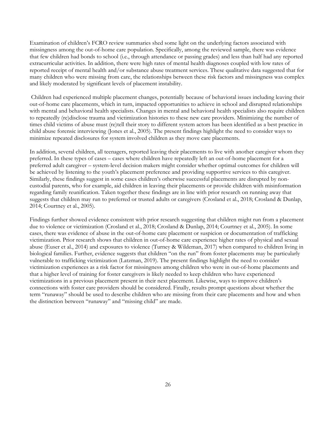Examination of children's FCRO review summaries shed some light on the underlying factors associated with missingness among the out-of-home care population. Specifically, among the reviewed sample, there was evidence that few children had bonds to school (i.e., through attendance or passing grades) and less than half had any reported extracurricular activities. In addition, there were high rates of mental health diagnoses coupled with low rates of reported receipt of mental health and/or substance abuse treatment services. These qualitative data suggested that for many children who were missing from care, the relationships between these risk factors and missingness was complex and likely moderated by significant levels of placement instability.

 Children had experienced multiple placement changes, potentially because of behavioral issues including leaving their out-of-home care placements, which in turn, impacted opportunities to achieve in school and disrupted relationships with mental and behavioral health specialists. Changes in mental and behavioral health specialists also require children to repeatedly (re)disclose trauma and victimization histories to these new care providers. Minimizing the number of times child victims of abuse must (re)tell their story to different system actors has been identified as a best practice in child abuse forensic interviewing (Jones et al., 2005). The present findings highlight the need to consider ways to minimize repeated disclosures for system involved children as they move care placements.

In addition, several children, all teenagers, reported leaving their placements to live with another caregiver whom they preferred. In these types of cases – cases where children have repeatedly left an out-of-home placement for a preferred adult caregiver – system-level decision makers might consider whether optimal outcomes for children will be achieved by listening to the youth's placement preference and providing supportive services to this caregiver. Similarly, these findings suggest in some cases children's otherwise successful placements are disrupted by noncustodial parents, who for example, aid children in leaving their placements or provide children with misinformation regarding family reunification. Taken together these findings are in line with prior research on running away that suggests that children may run to preferred or trusted adults or caregivers (Crosland et al., 2018; Crosland & Dunlap, 2014; Courtney et al., 2005).

Findings further showed evidence consistent with prior research suggesting that children might run from a placement due to violence or victimization (Crosland et al., 2018; Crosland & Dunlap, 2014; Courtney et al., 2005). In some cases, there was evidence of abuse in the out-of-home care placement or suspicion or documentation of trafficking victimization. Prior research shows that children in out-of-home care experience higher rates of physical and sexual abuse (Euser et al., 2014) and exposures to violence (Turney & Wildeman, 2017) when compared to children living in biological families. Further, evidence suggests that children "on the run" from foster placements may be particularly vulnerable to trafficking victimization (Latzman, 2019). The present findings highlight the need to consider victimization experiences as a risk factor for missingness among children who were in out-of-home placements and that a higher level of training for foster caregivers is likely needed to keep children who have experienced victimizations in a previous placement present in their next placement. Likewise, ways to improve children's connections with foster care providers should be considered. Finally, results prompt questions about whether the term "runaway" should be used to describe children who are missing from their care placements and how and when the distinction between "runaway" and "missing child" are made.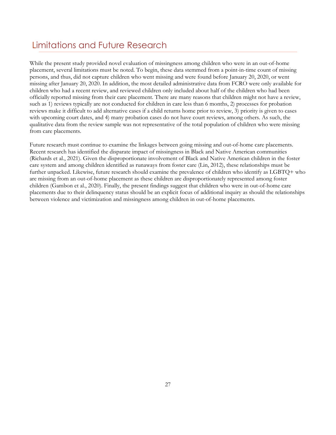#### Limitations and Future Research

While the present study provided novel evaluation of missingness among children who were in an out-of-home placement, several limitations must be noted. To begin, these data stemmed from a point-in-time count of missing persons, and thus, did not capture children who went missing and were found before January 20, 2020, or went missing after January 20, 2020. In addition, the most detailed administrative data from FCRO were only available for children who had a recent review, and reviewed children only included about half of the children who had been officially reported missing from their care placement. There are many reasons that children might not have a review, such as 1) reviews typically are not conducted for children in care less than 6 months, 2) processes for probation reviews make it difficult to add alternative cases if a child returns home prior to review, 3) priority is given to cases with upcoming court dates, and 4) many probation cases do not have court reviews, among others. As such, the qualitative data from the review sample was not representative of the total population of children who were missing from care placements.

Future research must continue to examine the linkages between going missing and out-of-home care placements. Recent research has identified the disparate impact of missingness in Black and Native American communities (Richards et al., 2021). Given the disproportionate involvement of Black and Native American children in the foster care system and among children identified as runaways from foster care (Lin, 2012), these relationships must be further unpacked. Likewise, future research should examine the prevalence of children who identify as LGBTQ+ who are missing from an out-of-home placement as these children are disproportionately represented among foster children (Gambon et al., 2020). Finally, the present findings suggest that children who were in out-of-home care placements due to their delinquency status should be an explicit focus of additional inquiry as should the relationships between violence and victimization and missingness among children in out-of-home placements.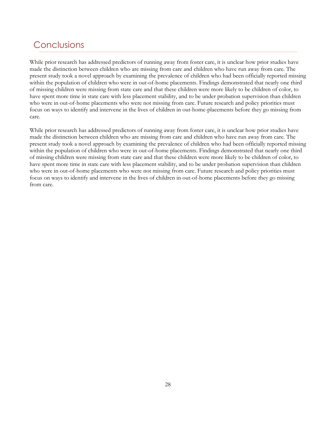#### Conclusions

While prior research has addressed predictors of running away from foster care, it is unclear how prior studies have made the distinction between children who are missing from care and children who have run away from care. The present study took a novel approach by examining the prevalence of children who had been officially reported missing within the population of children who were in out-of-home placements. Findings demonstrated that nearly one third of missing children were missing from state care and that these children were more likely to be children of color, to have spent more time in state care with less placement stability, and to be under probation supervision than children who were in out-of-home placements who were not missing from care. Future research and policy priorities must focus on ways to identify and intervene in the lives of children in out-home-placements before they go missing from care.

While prior research has addressed predictors of running away from foster care, it is unclear how prior studies have made the distinction between children who are missing from care and children who have run away from care. The present study took a novel approach by examining the prevalence of children who had been officially reported missing within the population of children who were in out-of-home placements. Findings demonstrated that nearly one third of missing children were missing from state care and that these children were more likely to be children of color, to have spent more time in state care with less placement stability, and to be under probation supervision than children who were in out-of-home placements who were not missing from care. Future research and policy priorities must focus on ways to identify and intervene in the lives of children in out-of-home placements before they go missing from care.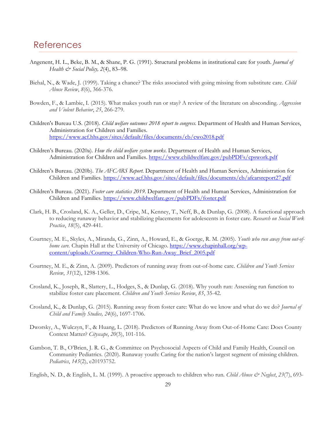#### References

- Angenent, H. L., Beke, B. M., & Shane, P. G. (1991). Structural problems in institutional care for youth. *Journal of Health & Social Policy, 2*(4), 83–98.
- Biehal, N., & Wade, J. (1999). Taking a chance? The risks associated with going missing from substitute care. *Child Abuse Review*, *8*(6), 366-376.
- Bowden, F., & Lambie, I. (2015). What makes youth run or stay? A review of the literature on absconding. *Aggression and Violent Behavior*, *25*, 266-279.
- Children's Bureau U.S. (2018). *Child welfare outcomes 2018 report to congress*. Department of Health and Human Services, Administration for Children and Families. https://www.acf.hhs.gov/sites/default/files/documents/cb/cwo2018.pdf
- Children's Bureau. (2020a). *How the child welfare system works*. Department of Health and Human Services, Administration for Children and Families. https://www.childwelfare.gov/pubPDFs/cpswork.pdf
- Children's Bureau. (2020b). *The AFCARS Report.* Department of Health and Human Services, Administration for Children and Families. https://www.acf.hhs.gov/sites/default/files/documents/cb/afcarsreport27.pdf
- Children's Bureau. (2021). *Foster care statistics 2019*. Department of Health and Human Services, Administration for Children and Families. https://www.childwelfare.gov/pubPDFs/foster.pdf
- Clark, H. B., Crosland, K. A., Geller, D., Cripe, M., Kenney, T., Neff, B., & Dunlap, G. (2008). A functional approach to reducing runaway behavior and stabilizing placements for adolescents in foster care. *Research on Social Work Practice*, *18*(5), 429-441.
- Courtney, M. E., Skyles, A., Miranda, G., Zinn, A., Howard, E., & Goerge, R. M. (2005). *Youth who run away from out-ofhome care.* Chapin Hall at the University of Chicago. https://www.chapinhall.org/wpcontent/uploads/Courtney\_Children-Who-Run-Away\_Brief\_2005.pdf
- Courtney, M. E., & Zinn, A. (2009). Predictors of running away from out-of-home care. *Children and Youth Services Review*, *31*(12), 1298-1306.
- Crosland, K., Joseph, R., Slattery, L., Hodges, S., & Dunlap, G. (2018). Why youth run: Assessing run function to stabilize foster care placement. *Children and Youth Services Review*, *85*, 35-42.
- Crosland, K., & Dunlap, G. (2015). Running away from foster care: What do we know and what do we do? *Journal of Child and Family Studies, 24*(6), 1697-1706.
- Dworsky, A., Wulczyn, F., & Huang, L. (2018). Predictors of Running Away from Out-of-Home Care: Does County Context Matter? *Cityscape*, *20*(3), 101-116.
- Gambon, T. B., O'Brien, J. R. G., & Committee on Psychosocial Aspects of Child and Family Health, Council on Community Pediatrics. (2020). Runaway youth: Caring for the nation's largest segment of missing children. *Pediatrics*, *145*(2), e20193752.
- English, N. D., & English, L. M. (1999). A proactive approach to children who run. *Child Abuse & Neglect*, 23(7), 693-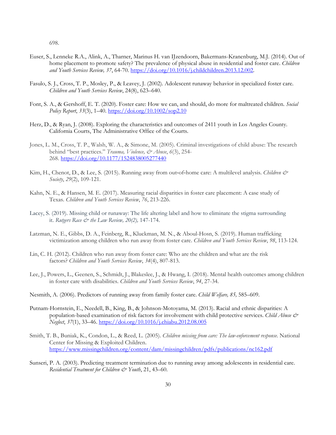698.

- Euser, S., Lenneke R.A., Alink, A., Tharner, Marinus H. van IJzendoorn, Bakermans-Kranenburg, M.J. (2014). Out of home placement to promote safety? The prevalence of physical abuse in residential and foster care. *Children and Youth Services Review, 37*, 64-70. https://doi.org/10.1016/j.childchildren.2013.12.002.
- Fasulo, S. J., Cross, T. P., Mosley, P., & Leavey, J. (2002). Adolescent runaway behavior in specialized foster care. *Children and Youth Services Review*, 24(8), 623–640.
- Font, S. A., & Gershoff, E. T. (2020). Foster care: How we can, and should, do more for maltreated children. *Social Policy Report*, *33*(3), 1–40. https://doi.org/10.1002/sop2.10
- Herz, D., & Ryan, J. (2008). Exploring the characteristics and outcomes of 2411 youth in Los Angeles County. California Courts, The Administrative Office of the Courts.
- Jones, L. M., Cross, T. P., Walsh, W. A., & Simone, M. (2005). Criminal investigations of child abuse: The research behind "best practices." *Trauma, Violence, & Abuse*, *6*(3), 254- 268. https://doi.org/10.1177/1524838005277440
- Kim, H., Chenot, D., & Lee, S. (2015). Running away from out-of-home care: A multilevel analysis. *Children & Society*, *29*(2), 109-121.
- Kahn, N. E., & Hansen, M. E. (2017). Measuring racial disparities in foster care placement: A case study of Texas. *Children and Youth Services Review*, *76*, 213-226.
- Lacey, S. (2019). Missing child or runaway: The life altering label and how to eliminate the stigma surrounding it. *Rutgers Race & the Law Review, 20(2),* 147-174.
- Latzman, N. E., Gibbs, D. A., Feinberg, R., Kluckman, M. N., & Aboul-Hosn, S. (2019). Human trafficking victimization among children who run away from foster care. *Children and Youth Services Review*, *98*, 113-124.
- Lin, C. H. (2012). Children who run away from foster care: Who are the children and what are the risk factors? *Children and Youth Services Review*, *34*(4), 807-813.
- Lee, J., Powers, L., Geenen, S., Schmidt, J., Blakeslee, J., & Hwang, I. (2018). Mental health outcomes among children in foster care with disabilities. *Children and Youth Services Review*, *94*, 27-34.
- Nesmith, A. (2006). Predictors of running away from family foster care. *Child Welfare, 85,* 585–609.
- Putnam-Hornstein, E., Needell, B., King, B., & Johnson-Motoyama, M. (2013). Racial and ethnic disparities: A population-based examination of risk factors for involvement with child protective services. *Child Abuse & Neglect*, *37*(1), 33–46. https://doi.org/10.1016/j.chiabu.2012.08.005
- Smith, T. B., Buniak, K., Condon, L., & Reed, L. (2005). *Children missing from care: The law-enforcement response*. National Center for Missing & Exploited Children. https://www.missingchildren.org/content/dam/missingchildren/pdfs/publications/nc162.pdf
- Sunseri, P. A. (2003). Predicting treatment termination due to running away among adolescents in residential care. *Residential Treatment for Children & Youth*, 21, 43–60.